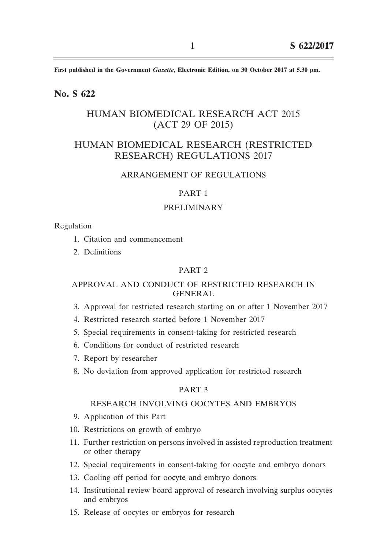**First published in the Government** *Gazette***, Electronic Edition, on 30 October 2017 at 5.30 pm.**

## **No. S 622**

# HUMAN BIOMEDICAL RESEARCH ACT 2015 (ACT 29 OF 2015)

# HUMAN BIOMEDICAL RESEARCH (RESTRICTED RESEARCH) REGULATIONS 2017

#### ARRANGEMENT OF REGULATIONS

#### PART 1

#### PRELIMINARY

#### Regulation

- 1. Citation and commencement
- 2. Definitions

#### PART 2

## APPROVAL AND CONDUCT OF RESTRICTED RESEARCH IN GENERAL

- 3. Approval for restricted research starting on or after 1 November 2017
- 4. Restricted research started before 1 November 2017
- 5. Special requirements in consent-taking for restricted research
- 6. Conditions for conduct of restricted research
- 7. Report by researcher
- 8. No deviation from approved application for restricted research

#### PART 3

#### RESEARCH INVOLVING OOCYTES AND EMBRYOS

- 9. Application of this Part
- 10. Restrictions on growth of embryo
- 11. Further restriction on persons involved in assisted reproduction treatment or other therapy
- 12. Special requirements in consent-taking for oocyte and embryo donors
- 13. Cooling off period for oocyte and embryo donors
- 14. Institutional review board approval of research involving surplus oocytes and embryos
- 15. Release of oocytes or embryos for research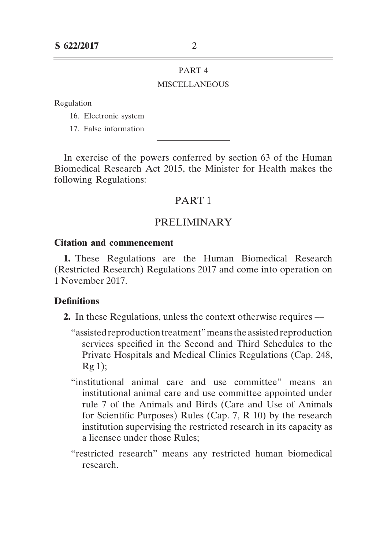# **MISCELLANEOUS**

Regulation

- 16. Electronic system
- 17. False information

In exercise of the powers conferred by section 63 of the Human Biomedical Research Act 2015, the Minister for Health makes the following Regulations:

# PART 1

# PRELIMINARY

## **Citation and commencement**

**1.** These Regulations are the Human Biomedical Research (Restricted Research) Regulations 2017 and come into operation on 1 November 2017.

## **Definitions**

- **2.** In these Regulations, unless the context otherwise requires ––
	- "assisted reproduction treatment" means the assisted reproduction services specified in the Second and Third Schedules to the Private Hospitals and Medical Clinics Regulations (Cap. 248,  $Rg$  1);
	- "institutional animal care and use committee" means an institutional animal care and use committee appointed under rule 7 of the Animals and Birds (Care and Use of Animals for Scientific Purposes) Rules (Cap. 7, R 10) by the research institution supervising the restricted research in its capacity as a licensee under those Rules;
	- "restricted research" means any restricted human biomedical research.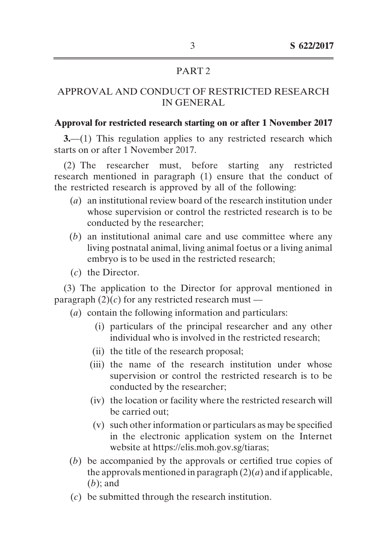# APPROVAL AND CONDUCT OF RESTRICTED RESEARCH IN GENERAL

## **Approval for restricted research starting on or after 1 November 2017**

**3.**—(1) This regulation applies to any restricted research which starts on or after 1 November 2017.

(2) The researcher must, before starting any restricted research mentioned in paragraph (1) ensure that the conduct of the restricted research is approved by all of the following:

- (*a*) an institutional review board of the research institution under whose supervision or control the restricted research is to be conducted by the researcher;
- (*b*) an institutional animal care and use committee where any living postnatal animal, living animal foetus or a living animal embryo is to be used in the restricted research;
- (*c*) the Director.

(3) The application to the Director for approval mentioned in paragraph  $(2)(c)$  for any restricted research must —

- (*a*) contain the following information and particulars:
	- (i) particulars of the principal researcher and any other individual who is involved in the restricted research;
	- (ii) the title of the research proposal;
	- (iii) the name of the research institution under whose supervision or control the restricted research is to be conducted by the researcher;
	- (iv) the location or facility where the restricted research will be carried out;
	- $(v)$  such other information or particulars as may be specified in the electronic application system on the Internet website at https://elis.moh.gov.sg/tiaras;
- (*b*) be accompanied by the approvals or certified true copies of the approvals mentioned in paragraph  $(2)(a)$  and if applicable, (*b*); and
- (*c*) be submitted through the research institution.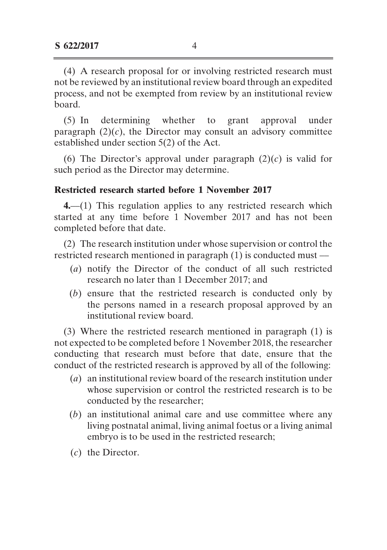(4) A research proposal for or involving restricted research must not be reviewed by an institutional review board through an expedited process, and not be exempted from review by an institutional review board.

(5) In determining whether to grant approval under paragraph  $(2)(c)$ , the Director may consult an advisory committee established under section 5(2) of the Act.

(6) The Director's approval under paragraph  $(2)(c)$  is valid for such period as the Director may determine.

## **Restricted research started before 1 November 2017**

**4.**––(1) This regulation applies to any restricted research which started at any time before 1 November 2017 and has not been completed before that date.

(2) The research institution under whose supervision or control the restricted research mentioned in paragraph (1) is conducted must ––

- (*a*) notify the Director of the conduct of all such restricted research no later than 1 December 2017; and
- (*b*) ensure that the restricted research is conducted only by the persons named in a research proposal approved by an institutional review board.

(3) Where the restricted research mentioned in paragraph (1) is not expected to be completed before 1 November 2018, the researcher conducting that research must before that date, ensure that the conduct of the restricted research is approved by all of the following:

- (*a*) an institutional review board of the research institution under whose supervision or control the restricted research is to be conducted by the researcher;
- (*b*) an institutional animal care and use committee where any living postnatal animal, living animal foetus or a living animal embryo is to be used in the restricted research;
- (*c*) the Director.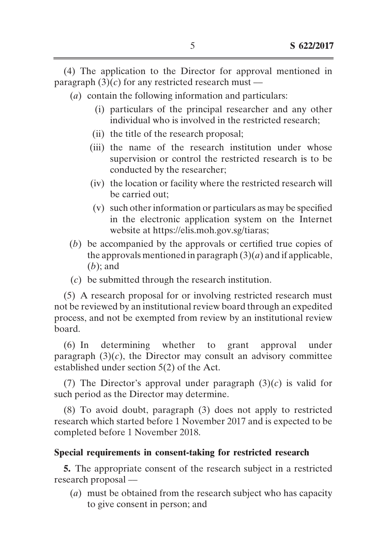(4) The application to the Director for approval mentioned in paragraph  $(3)(c)$  for any restricted research must —

- (*a*) contain the following information and particulars:
	- (i) particulars of the principal researcher and any other individual who is involved in the restricted research;
	- (ii) the title of the research proposal;
	- (iii) the name of the research institution under whose supervision or control the restricted research is to be conducted by the researcher;
	- (iv) the location or facility where the restricted research will be carried out;
	- (v) such otherinformation or particulars as may be specified in the electronic application system on the Internet website at https://elis.moh.gov.sg/tiaras;
- (*b*) be accompanied by the approvals or certified true copies of the approvals mentioned in paragraph  $(3)(a)$  and if applicable, (*b*); and
- (*c*) be submitted through the research institution.

(5) A research proposal for or involving restricted research must not be reviewed by an institutional review board through an expedited process, and not be exempted from review by an institutional review board.

(6) In determining whether to grant approval under paragraph  $(3)(c)$ , the Director may consult an advisory committee established under section 5(2) of the Act.

(7) The Director's approval under paragraph  $(3)(c)$  is valid for such period as the Director may determine.

(8) To avoid doubt, paragraph (3) does not apply to restricted research which started before 1 November 2017 and is expected to be completed before 1 November 2018.

# **Special requirements in consent-taking for restricted research**

**5.** The appropriate consent of the research subject in a restricted research proposal ––

 (*a*) must be obtained from the research subject who has capacity to give consent in person; and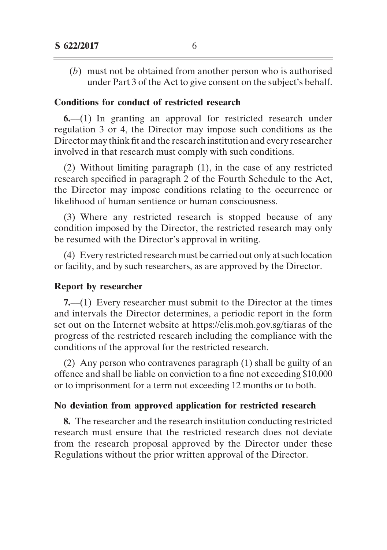(*b*) must not be obtained from another person who is authorised under Part 3 of the Act to give consent on the subject's behalf.

## **Conditions for conduct of restricted research**

**6.**—(1) In granting an approval for restricted research under regulation 3 or 4, the Director may impose such conditions as the Director may think fit and the research institution and every researcher involved in that research must comply with such conditions.

(2) Without limiting paragraph (1), in the case of any restricted research specified in paragraph 2 of the Fourth Schedule to the Act, the Director may impose conditions relating to the occurrence or likelihood of human sentience or human consciousness.

(3) Where any restricted research is stopped because of any condition imposed by the Director, the restricted research may only be resumed with the Director's approval in writing.

(4) Every restricted research must be carried out only atsuch location or facility, and by such researchers, as are approved by the Director.

### **Report by researcher**

**7.**—(1) Every researcher must submit to the Director at the times and intervals the Director determines, a periodic report in the form set out on the Internet website at https://elis.moh.gov.sg/tiaras of the progress of the restricted research including the compliance with the conditions of the approval for the restricted research.

(2) Any person who contravenes paragraph (1) shall be guilty of an offence and shall be liable on conviction to a fine not exceeding \$10,000 or to imprisonment for a term not exceeding 12 months or to both.

## **No deviation from approved application for restricted research**

**8.** The researcher and the research institution conducting restricted research must ensure that the restricted research does not deviate from the research proposal approved by the Director under these Regulations without the prior written approval of the Director.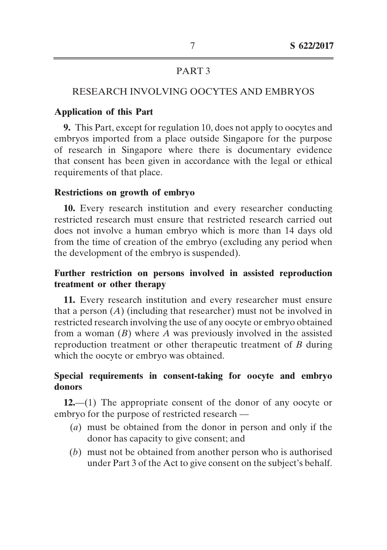## RESEARCH INVOLVING OOCYTES AND EMBRYOS

## **Application of this Part**

**9.** This Part, except for regulation 10, does not apply to oocytes and embryos imported from a place outside Singapore for the purpose of research in Singapore where there is documentary evidence that consent has been given in accordance with the legal or ethical requirements of that place.

### **Restrictions on growth of embryo**

**10.** Every research institution and every researcher conducting restricted research must ensure that restricted research carried out does not involve a human embryo which is more than 14 days old from the time of creation of the embryo (excluding any period when the development of the embryo is suspended).

# **Further restriction on persons involved in assisted reproduction treatment or other therapy**

**11.** Every research institution and every researcher must ensure that a person (*A*) (including that researcher) must not be involved in restricted research involving the use of any oocyte or embryo obtained from a woman (*B*) where *A* was previously involved in the assisted reproduction treatment or other therapeutic treatment of *B* during which the oocyte or embryo was obtained.

# **Special requirements in consent-taking for oocyte and embryo donors**

**12.**—(1) The appropriate consent of the donor of any oocyte or embryo for the purpose of restricted research ––

- (*a*) must be obtained from the donor in person and only if the donor has capacity to give consent; and
- (*b*) must not be obtained from another person who is authorised under Part 3 of the Act to give consent on the subject's behalf.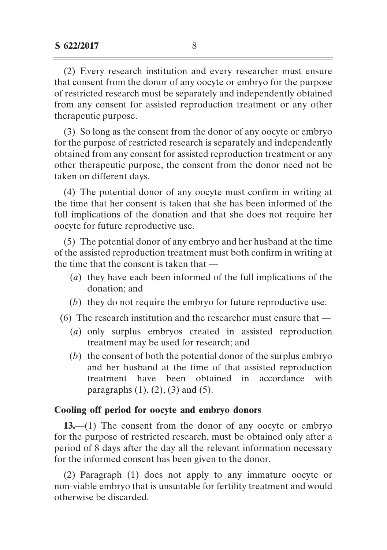(2) Every research institution and every researcher must ensure that consent from the donor of any oocyte or embryo for the purpose of restricted research must be separately and independently obtained from any consent for assisted reproduction treatment or any other therapeutic purpose.

(3) So long as the consent from the donor of any oocyte or embryo for the purpose of restricted research is separately and independently obtained from any consent for assisted reproduction treatment or any other therapeutic purpose, the consent from the donor need not be taken on different days.

(4) The potential donor of any oocyte must confirm in writing at the time that her consent is taken that she has been informed of the full implications of the donation and that she does not require her oocyte for future reproductive use.

(5) The potential donor of any embryo and her husband at the time of the assisted reproduction treatment must both confirm in writing at the time that the consent is taken that ––

- (*a*) they have each been informed of the full implications of the donation; and
- (*b*) they do not require the embryo for future reproductive use.
- $(6)$  The research institution and the researcher must ensure that  $-$ 
	- (*a*) only surplus embryos created in assisted reproduction treatment may be used for research; and
	- $(b)$  the consent of both the potential donor of the surplus embryo and her husband at the time of that assisted reproduction treatment have been obtained in accordance with paragraphs  $(1)$ ,  $(2)$ ,  $(3)$  and  $(5)$ .

# **Cooling off period for oocyte and embryo donors**

**13.**—(1) The consent from the donor of any oocyte or embryo for the purpose of restricted research, must be obtained only after a period of 8 days after the day all the relevant information necessary for the informed consent has been given to the donor.

(2) Paragraph (1) does not apply to any immature oocyte or non-viable embryo that is unsuitable for fertility treatment and would otherwise be discarded.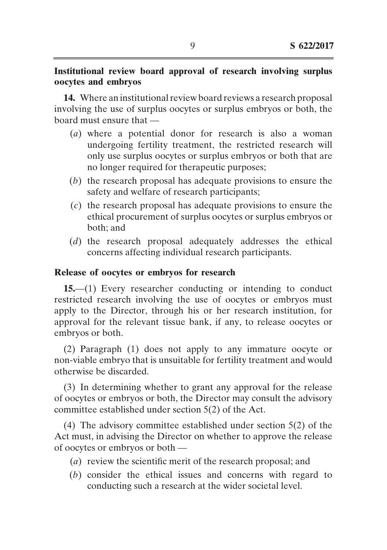# **Institutional review board approval of research involving surplus oocytes and embryos**

**14.** Where an institutional review board reviews a research proposal involving the use of surplus oocytes or surplus embryos or both, the board must ensure that ––

- (*a*) where a potential donor for research is also a woman undergoing fertility treatment, the restricted research will only use surplus oocytes or surplus embryos or both that are no longer required for therapeutic purposes;
- (*b*) the research proposal has adequate provisions to ensure the safety and welfare of research participants;
- (*c*) the research proposal has adequate provisions to ensure the ethical procurement of surplus oocytes or surplus embryos or both; and
- (*d*) the research proposal adequately addresses the ethical concerns affecting individual research participants.

# **Release of oocytes or embryos for research**

15.—(1) Every researcher conducting or intending to conduct restricted research involving the use of oocytes or embryos must apply to the Director, through his or her research institution, for approval for the relevant tissue bank, if any, to release oocytes or embryos or both.

(2) Paragraph (1) does not apply to any immature oocyte or non-viable embryo that is unsuitable for fertility treatment and would otherwise be discarded.

(3) In determining whether to grant any approval for the release of oocytes or embryos or both, the Director may consult the advisory committee established under section 5(2) of the Act.

(4) The advisory committee established under section 5(2) of the Act must, in advising the Director on whether to approve the release of oocytes or embryos or both ––

- (*a*) review the scientific merit of the research proposal; and
- (*b*) consider the ethical issues and concerns with regard to conducting such a research at the wider societal level.